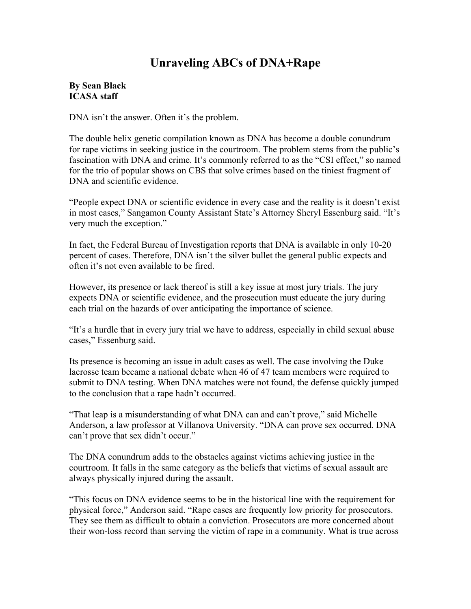# **Unraveling ABCs of DNA+Rape**

### **By Sean Black ICASA staff**

DNA isn't the answer. Often it's the problem.

The double helix genetic compilation known as DNA has become a double conundrum for rape victims in seeking justice in the courtroom. The problem stems from the public's fascination with DNA and crime. It's commonly referred to as the "CSI effect," so named for the trio of popular shows on CBS that solve crimes based on the tiniest fragment of DNA and scientific evidence

"People expect DNA or scientific evidence in every case and the reality is it doesn't exist in most cases," Sangamon County Assistant State's Attorney Sheryl Essenburg said. "It's very much the exception."

In fact, the Federal Bureau of Investigation reports that DNA is available in only 10-20 percent of cases. Therefore, DNA isn't the silver bullet the general public expects and often it's not even available to be fired.

However, its presence or lack thereof is still a key issue at most jury trials. The jury expects DNA or scientific evidence, and the prosecution must educate the jury during each trial on the hazards of over anticipating the importance of science.

"It's a hurdle that in every jury trial we have to address, especially in child sexual abuse cases," Essenburg said.

Its presence is becoming an issue in adult cases as well. The case involving the Duke lacrosse team became a national debate when 46 of 47 team members were required to submit to DNA testing. When DNA matches were not found, the defense quickly jumped to the conclusion that a rape hadn't occurred.

"That leap is a misunderstanding of what DNA can and can't prove," said Michelle Anderson, a law professor at Villanova University. "DNA can prove sex occurred. DNA can't prove that sex didn't occur."

The DNA conundrum adds to the obstacles against victims achieving justice in the courtroom. It falls in the same category as the beliefs that victims of sexual assault are always physically injured during the assault.

"This focus on DNA evidence seems to be in the historical line with the requirement for physical force," Anderson said. "Rape cases are frequently low priority for prosecutors. They see them as difficult to obtain a conviction. Prosecutors are more concerned about their won-loss record than serving the victim of rape in a community. What is true across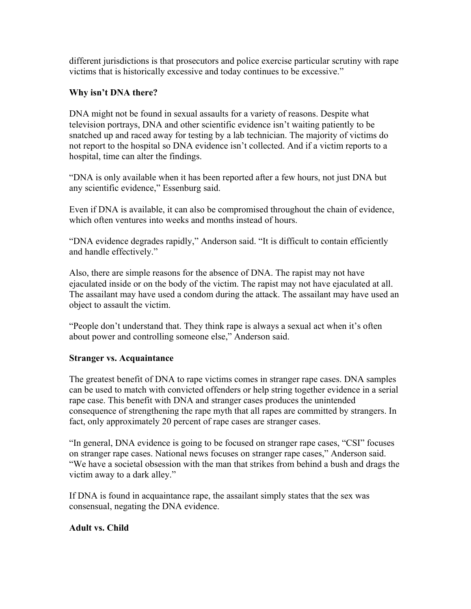different jurisdictions is that prosecutors and police exercise particular scrutiny with rape victims that is historically excessive and today continues to be excessive."

### **Why isn't DNA there?**

DNA might not be found in sexual assaults for a variety of reasons. Despite what television portrays, DNA and other scientific evidence isn't waiting patiently to be snatched up and raced away for testing by a lab technician. The majority of victims do not report to the hospital so DNA evidence isn't collected. And if a victim reports to a hospital, time can alter the findings.

"DNA is only available when it has been reported after a few hours, not just DNA but any scientific evidence," Essenburg said.

Even if DNA is available, it can also be compromised throughout the chain of evidence, which often ventures into weeks and months instead of hours.

"DNA evidence degrades rapidly," Anderson said. "It is difficult to contain efficiently and handle effectively."

Also, there are simple reasons for the absence of DNA. The rapist may not have ejaculated inside or on the body of the victim. The rapist may not have ejaculated at all. The assailant may have used a condom during the attack. The assailant may have used an object to assault the victim.

"People don't understand that. They think rape is always a sexual act when it's often about power and controlling someone else," Anderson said.

# **Stranger vs. Acquaintance**

The greatest benefit of DNA to rape victims comes in stranger rape cases. DNA samples can be used to match with convicted offenders or help string together evidence in a serial rape case. This benefit with DNA and stranger cases produces the unintended consequence of strengthening the rape myth that all rapes are committed by strangers. In fact, only approximately 20 percent of rape cases are stranger cases.

"In general, DNA evidence is going to be focused on stranger rape cases, "CSI" focuses on stranger rape cases. National news focuses on stranger rape cases," Anderson said. "We have a societal obsession with the man that strikes from behind a bush and drags the victim away to a dark alley."

If DNA is found in acquaintance rape, the assailant simply states that the sex was consensual, negating the DNA evidence.

# **Adult vs. Child**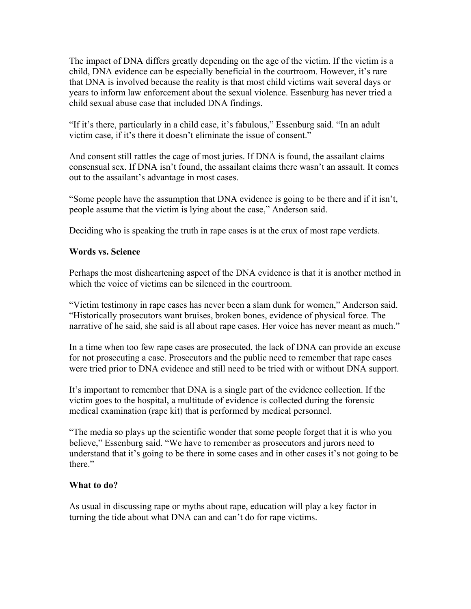The impact of DNA differs greatly depending on the age of the victim. If the victim is a child, DNA evidence can be especially beneficial in the courtroom. However, it's rare that DNA is involved because the reality is that most child victims wait several days or years to inform law enforcement about the sexual violence. Essenburg has never tried a child sexual abuse case that included DNA findings.

"If it's there, particularly in a child case, it's fabulous," Essenburg said. "In an adult victim case, if it's there it doesn't eliminate the issue of consent."

And consent still rattles the cage of most juries. If DNA is found, the assailant claims consensual sex. If DNA isn't found, the assailant claims there wasn't an assault. It comes out to the assailant's advantage in most cases.

"Some people have the assumption that DNA evidence is going to be there and if it isn't, people assume that the victim is lying about the case," Anderson said.

Deciding who is speaking the truth in rape cases is at the crux of most rape verdicts.

#### **Words vs. Science**

Perhaps the most disheartening aspect of the DNA evidence is that it is another method in which the voice of victims can be silenced in the courtroom.

"Victim testimony in rape cases has never been a slam dunk for women," Anderson said. "Historically prosecutors want bruises, broken bones, evidence of physical force. The narrative of he said, she said is all about rape cases. Her voice has never meant as much."

In a time when too few rape cases are prosecuted, the lack of DNA can provide an excuse for not prosecuting a case. Prosecutors and the public need to remember that rape cases were tried prior to DNA evidence and still need to be tried with or without DNA support.

It's important to remember that DNA is a single part of the evidence collection. If the victim goes to the hospital, a multitude of evidence is collected during the forensic medical examination (rape kit) that is performed by medical personnel.

"The media so plays up the scientific wonder that some people forget that it is who you believe," Essenburg said. "We have to remember as prosecutors and jurors need to understand that it's going to be there in some cases and in other cases it's not going to be there."

#### **What to do?**

As usual in discussing rape or myths about rape, education will play a key factor in turning the tide about what DNA can and can't do for rape victims.